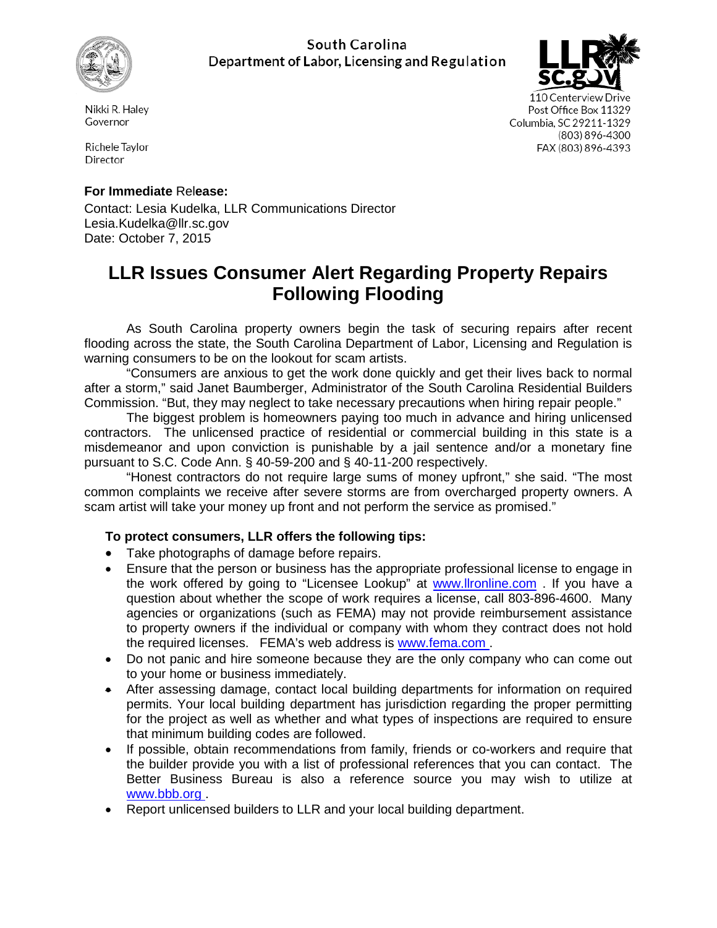

## South Carolina Department of Labor, Licensing and Regulation



110 Centerview Drive Post Office Box 11329 Columbia, SC 29211-1329 (803) 896-4300 FAX (803) 896-4393

Nikki R. Halev Governor

Richele Tavlor Director

# **For Immediate** Rel**ease:**

Contact: Lesia Kudelka, LLR Communications Director Lesia.Kudelka@llr.sc.gov Date: October 7, 2015

# **LLR Issues Consumer Alert Regarding Property Repairs Following Flooding**

As South Carolina property owners begin the task of securing repairs after recent flooding across the state, the South Carolina Department of Labor, Licensing and Regulation is warning consumers to be on the lookout for scam artists.

"Consumers are anxious to get the work done quickly and get their lives back to normal after a storm," said Janet Baumberger, Administrator of the South Carolina Residential Builders Commission. "But, they may neglect to take necessary precautions when hiring repair people."

The biggest problem is homeowners paying too much in advance and hiring unlicensed contractors. The unlicensed practice of residential or commercial building in this state is a misdemeanor and upon conviction is punishable by a jail sentence and/or a monetary fine pursuant to S.C. Code Ann. § 40-59-200 and § 40-11-200 respectively.

"Honest contractors do not require large sums of money upfront," she said. "The most common complaints we receive after severe storms are from overcharged property owners. A scam artist will take your money up front and not perform the service as promised."

### **To protect consumers, LLR offers the following tips:**

- Take photographs of damage before repairs.
- Ensure that the person or business has the appropriate professional license to engage in the work offered by going to "Licensee Lookup" at [www.llronline.com](http://www.llronline.com/) . If you have a question about whether the scope of work requires a license, call 803-896-4600. Many agencies or organizations (such as FEMA) may not provide reimbursement assistance to property owners if the individual or company with whom they contract does not hold the required licenses. FEMA's web address is [www.fema.com](http://www.fema.com/) .
- Do not panic and hire someone because they are the only company who can come out to your home or business immediately.
- After assessing damage, contact local building departments for information on required permits. Your local building department has jurisdiction regarding the proper permitting for the project as well as whether and what types of inspections are required to ensure that minimum building codes are followed.
- If possible, obtain recommendations from family, friends or co-workers and require that the builder provide you with a list of professional references that you can contact. The Better Business Bureau is also a reference source you may wish to utilize at [www.bbb.org](http://www.bbb.org/) .
- Report unlicensed builders to LLR and your local building department.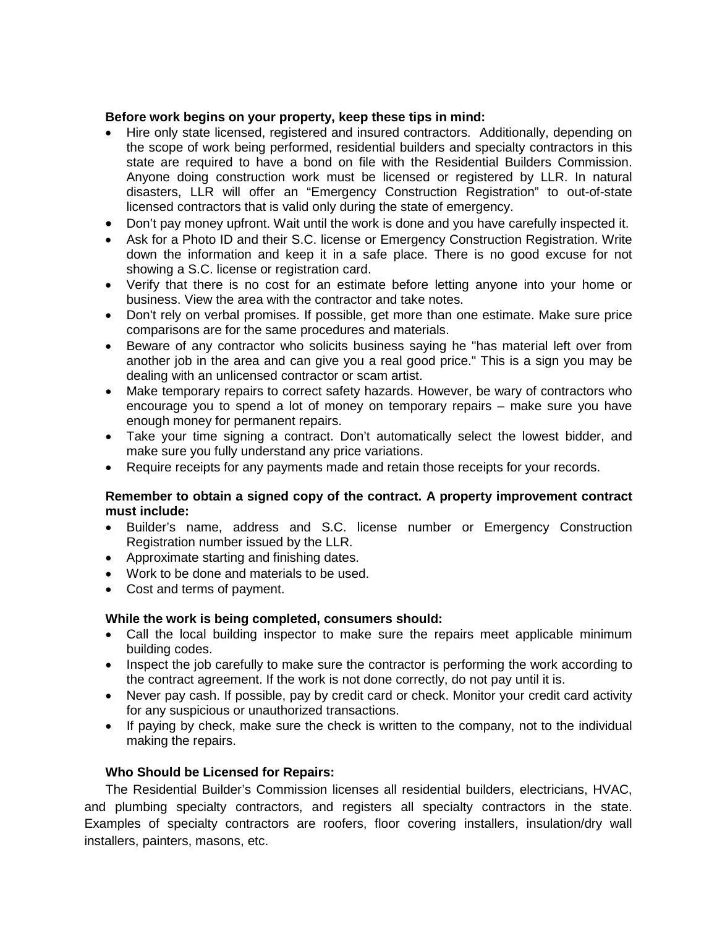#### **Before work begins on your property, keep these tips in mind:**

- Hire only state licensed, registered and insured contractors. Additionally, depending on the scope of work being performed, residential builders and specialty contractors in this state are required to have a bond on file with the Residential Builders Commission. Anyone doing construction work must be licensed or registered by LLR. In natural disasters, LLR will offer an "Emergency Construction Registration" to out-of-state licensed contractors that is valid only during the state of emergency.
- Don't pay money upfront. Wait until the work is done and you have carefully inspected it.
- Ask for a Photo ID and their S.C. license or Emergency Construction Registration. Write down the information and keep it in a safe place. There is no good excuse for not showing a S.C. license or registration card.
- Verify that there is no cost for an estimate before letting anyone into your home or business. View the area with the contractor and take notes.
- Don't rely on verbal promises. If possible, get more than one estimate. Make sure price comparisons are for the same procedures and materials.
- Beware of any contractor who solicits business saying he "has material left over from another job in the area and can give you a real good price." This is a sign you may be dealing with an unlicensed contractor or scam artist.
- Make temporary repairs to correct safety hazards. However, be wary of contractors who encourage you to spend a lot of money on temporary repairs – make sure you have enough money for permanent repairs.
- Take your time signing a contract. Don't automatically select the lowest bidder, and make sure you fully understand any price variations.
- Require receipts for any payments made and retain those receipts for your records.

#### **Remember to obtain a signed copy of the contract. A property improvement contract must include:**

- Builder's name, address and S.C. license number or Emergency Construction Registration number issued by the LLR.
- Approximate starting and finishing dates.
- Work to be done and materials to be used.
- Cost and terms of payment.

#### **While the work is being completed, consumers should:**

- Call the local building inspector to make sure the repairs meet applicable minimum building codes.
- Inspect the job carefully to make sure the contractor is performing the work according to the contract agreement. If the work is not done correctly, do not pay until it is.
- Never pay cash. If possible, pay by credit card or check. Monitor your credit card activity for any suspicious or unauthorized transactions.
- If paying by check, make sure the check is written to the company, not to the individual making the repairs.

#### **Who Should be Licensed for Repairs:**

The Residential Builder's Commission licenses all residential builders, electricians, HVAC, and plumbing specialty contractors, and registers all specialty contractors in the state. Examples of specialty contractors are roofers, floor covering installers, insulation/dry wall installers, painters, masons, etc.